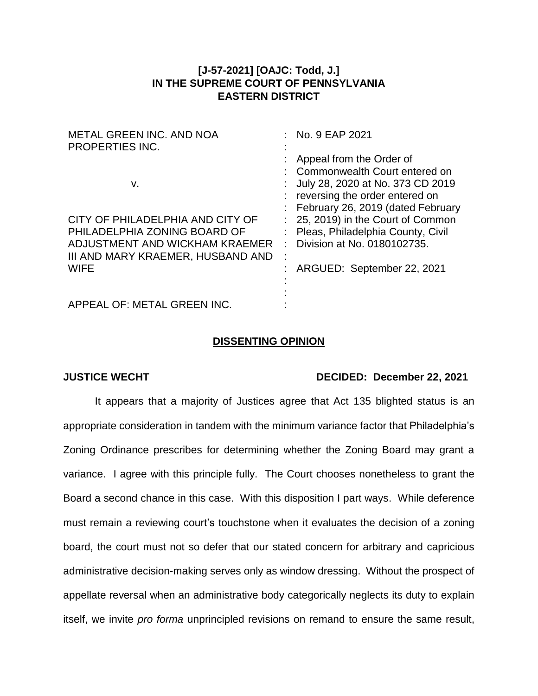## **[J-57-2021] [OAJC: Todd, J.] IN THE SUPREME COURT OF PENNSYLVANIA EASTERN DISTRICT**

| <b>METAL GREEN INC. AND NOA</b><br><b>PROPERTIES INC.</b>                                                                                              | : No. $9$ EAP 2021                                                                                                                                                            |
|--------------------------------------------------------------------------------------------------------------------------------------------------------|-------------------------------------------------------------------------------------------------------------------------------------------------------------------------------|
| v.                                                                                                                                                     | Appeal from the Order of<br>: Commonwealth Court entered on<br>July 28, 2020 at No. 373 CD 2019<br>reversing the order entered on                                             |
| CITY OF PHILADELPHIA AND CITY OF<br>PHILADELPHIA ZONING BOARD OF<br>ADJUSTMENT AND WICKHAM KRAEMER<br>III AND MARY KRAEMER, HUSBAND AND<br><b>WIFE</b> | : February 26, 2019 (dated February<br>: 25, 2019) in the Court of Common<br>: Pleas, Philadelphia County, Civil<br>Division at No. 0180102735.<br>ARGUED: September 22, 2021 |
| APPEAL OF: METAL GREEN INC.                                                                                                                            |                                                                                                                                                                               |

## **DISSENTING OPINION**

## **JUSTICE WECHT DECIDED: December 22, 2021**

It appears that a majority of Justices agree that Act 135 blighted status is an appropriate consideration in tandem with the minimum variance factor that Philadelphia's Zoning Ordinance prescribes for determining whether the Zoning Board may grant a variance. I agree with this principle fully. The Court chooses nonetheless to grant the Board a second chance in this case. With this disposition I part ways. While deference must remain a reviewing court's touchstone when it evaluates the decision of a zoning board, the court must not so defer that our stated concern for arbitrary and capricious administrative decision-making serves only as window dressing. Without the prospect of appellate reversal when an administrative body categorically neglects its duty to explain itself, we invite *pro forma* unprincipled revisions on remand to ensure the same result,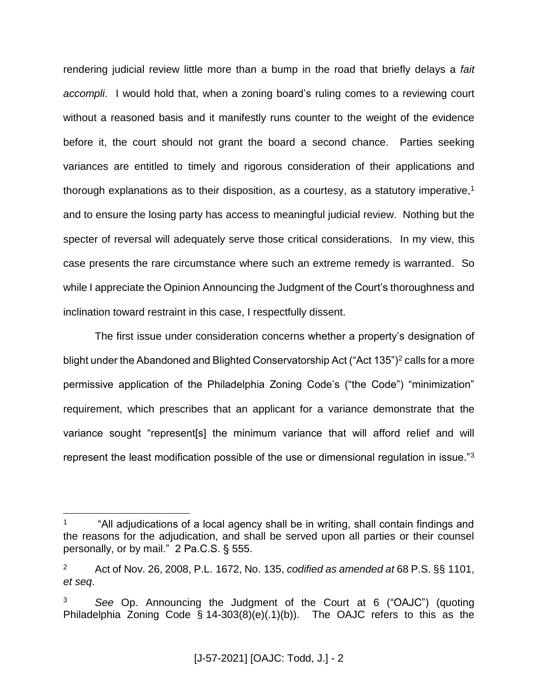rendering judicial review little more than a bump in the road that briefly delays a *fait accompli*. I would hold that, when a zoning board's ruling comes to a reviewing court without a reasoned basis and it manifestly runs counter to the weight of the evidence before it, the court should not grant the board a second chance. Parties seeking variances are entitled to timely and rigorous consideration of their applications and thorough explanations as to their disposition, as a courtesy, as a statutory imperative,<sup>1</sup> and to ensure the losing party has access to meaningful judicial review. Nothing but the specter of reversal will adequately serve those critical considerations. In my view, this case presents the rare circumstance where such an extreme remedy is warranted. So while I appreciate the Opinion Announcing the Judgment of the Court's thoroughness and inclination toward restraint in this case, I respectfully dissent.

The first issue under consideration concerns whether a property's designation of blight under the Abandoned and Blighted Conservatorship Act ("Act 135")<sup>2</sup> calls for a more permissive application of the Philadelphia Zoning Code's ("the Code") "minimization" requirement, which prescribes that an applicant for a variance demonstrate that the variance sought "represent[s] the minimum variance that will afford relief and will represent the least modification possible of the use or dimensional regulation in issue."<sup>3</sup>

<sup>1</sup> "All adjudications of a local agency shall be in writing, shall contain findings and the reasons for the adjudication, and shall be served upon all parties or their counsel personally, or by mail." 2 Pa.C.S. § 555.

<sup>2</sup> Act of Nov. 26, 2008, P.L. 1672, No. 135, *codified as amended at* 68 P.S. §§ 1101, *et seq*.

<sup>3</sup> *See* Op. Announcing the Judgment of the Court at 6 ("OAJC") (quoting Philadelphia Zoning Code § 14-303(8)(e)(.1)(b)). The OAJC refers to this as the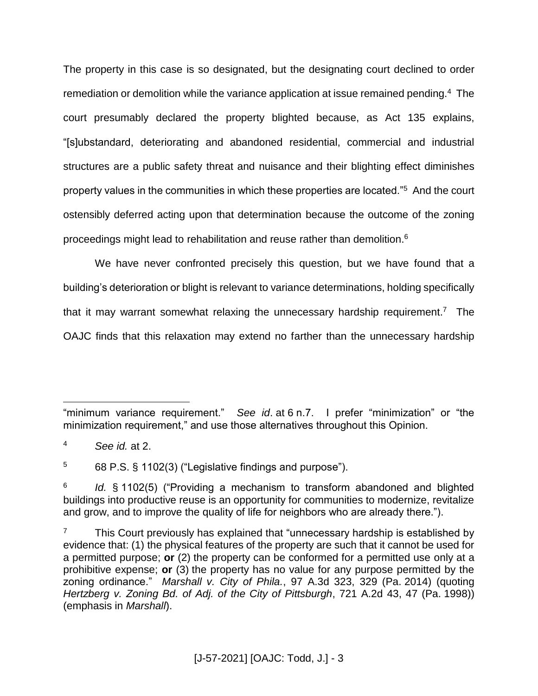The property in this case is so designated, but the designating court declined to order remediation or demolition while the variance application at issue remained pending.<sup>4</sup> The court presumably declared the property blighted because, as Act 135 explains, "[s]ubstandard, deteriorating and abandoned residential, commercial and industrial structures are a public safety threat and nuisance and their blighting effect diminishes property values in the communities in which these properties are located."<sup>5</sup> And the court ostensibly deferred acting upon that determination because the outcome of the zoning proceedings might lead to rehabilitation and reuse rather than demolition. $6$ 

We have never confronted precisely this question, but we have found that a building's deterioration or blight is relevant to variance determinations, holding specifically that it may warrant somewhat relaxing the unnecessary hardship requirement.<sup>7</sup> The OAJC finds that this relaxation may extend no farther than the unnecessary hardship

<sup>5</sup> 68 P.S. § 1102(3) ("Legislative findings and purpose").

 $\overline{a}$ "minimum variance requirement." *See id*. at 6 n.7. I prefer "minimization" or "the minimization requirement," and use those alternatives throughout this Opinion.

<sup>4</sup> *See id.* at 2.

<sup>6</sup> *Id.* § 1102(5) ("Providing a mechanism to transform abandoned and blighted buildings into productive reuse is an opportunity for communities to modernize, revitalize and grow, and to improve the quality of life for neighbors who are already there.").

 $7$  This Court previously has explained that "unnecessary hardship is established by evidence that: (1) the physical features of the property are such that it cannot be used for a permitted purpose; **or** (2) the property can be conformed for a permitted use only at a prohibitive expense; **or** (3) the property has no value for any purpose permitted by the zoning ordinance." *Marshall v. City of Phila.*, 97 A.3d 323, 329 (Pa. 2014) (quoting *Hertzberg v. Zoning Bd. of Adj. of the City of Pittsburgh*, 721 A.2d 43, 47 (Pa. 1998)) (emphasis in *Marshall*).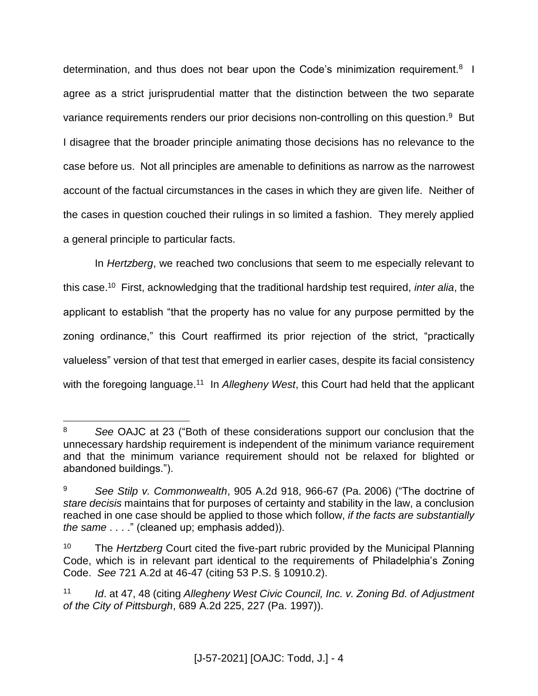determination, and thus does not bear upon the Code's minimization requirement.<sup>8</sup> I agree as a strict jurisprudential matter that the distinction between the two separate variance requirements renders our prior decisions non-controlling on this question.<sup>9</sup> But I disagree that the broader principle animating those decisions has no relevance to the case before us. Not all principles are amenable to definitions as narrow as the narrowest account of the factual circumstances in the cases in which they are given life. Neither of the cases in question couched their rulings in so limited a fashion. They merely applied a general principle to particular facts.

In *Hertzberg*, we reached two conclusions that seem to me especially relevant to this case. 10 First, acknowledging that the traditional hardship test required, *inter alia*, the applicant to establish "that the property has no value for any purpose permitted by the zoning ordinance," this Court reaffirmed its prior rejection of the strict, "practically valueless" version of that test that emerged in earlier cases, despite its facial consistency with the foregoing language.<sup>11</sup> In Allegheny West, this Court had held that the applicant

<sup>8</sup> *See* OAJC at 23 ("Both of these considerations support our conclusion that the unnecessary hardship requirement is independent of the minimum variance requirement and that the minimum variance requirement should not be relaxed for blighted or abandoned buildings.").

<sup>9</sup> *See Stilp v. Commonwealth*, 905 A.2d 918, 966-67 (Pa. 2006) ("The doctrine of *stare decisis* maintains that for purposes of certainty and stability in the law, a conclusion reached in one case should be applied to those which follow, *if the facts are substantially the same* . . . ." (cleaned up; emphasis added)).

<sup>10</sup> The *Hertzberg* Court cited the five-part rubric provided by the Municipal Planning Code, which is in relevant part identical to the requirements of Philadelphia's Zoning Code. *See* 721 A.2d at 46-47 (citing 53 P.S. § 10910.2).

<sup>11</sup> *Id*. at 47, 48 (citing *Allegheny West Civic Council, Inc. v. Zoning Bd. of Adjustment of the City of Pittsburgh*, 689 A.2d 225, 227 (Pa. 1997)).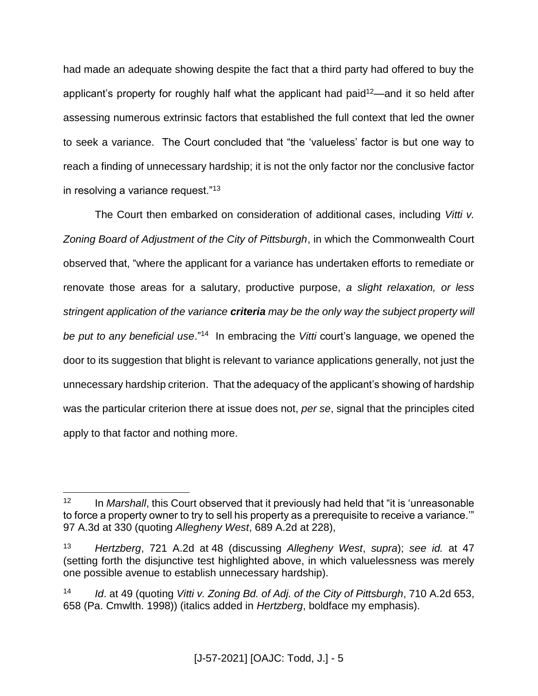had made an adequate showing despite the fact that a third party had offered to buy the applicant's property for roughly half what the applicant had paid<sup>12</sup>—and it so held after assessing numerous extrinsic factors that established the full context that led the owner to seek a variance. The Court concluded that "the 'valueless' factor is but one way to reach a finding of unnecessary hardship; it is not the only factor nor the conclusive factor in resolving a variance request."<sup>13</sup>

The Court then embarked on consideration of additional cases, including *Vitti v. Zoning Board of Adjustment of the City of Pittsburgh*, in which the Commonwealth Court observed that, "where the applicant for a variance has undertaken efforts to remediate or renovate those areas for a salutary, productive purpose, *a slight relaxation, or less stringent application of the variance criteria may be the only way the subject property will*  be put to any beneficial use.<sup>"14</sup> In embracing the *Vitti* court's language, we opened the door to its suggestion that blight is relevant to variance applications generally, not just the unnecessary hardship criterion. That the adequacy of the applicant's showing of hardship was the particular criterion there at issue does not, *per se*, signal that the principles cited apply to that factor and nothing more.

<sup>&</sup>lt;sup>12</sup> In *Marshall*, this Court observed that it previously had held that "it is 'unreasonable to force a property owner to try to sell his property as a prerequisite to receive a variance.'" 97 A.3d at 330 (quoting *Allegheny West*, 689 A.2d at 228),

<sup>13</sup> *Hertzberg*, 721 A.2d at 48 (discussing *Allegheny West*, *supra*); *see id.* at 47 (setting forth the disjunctive test highlighted above, in which valuelessness was merely one possible avenue to establish unnecessary hardship).

<sup>14</sup> *Id*. at 49 (quoting *Vitti v. Zoning Bd. of Adj. of the City of Pittsburgh*, 710 A.2d 653, 658 (Pa. Cmwlth. 1998)) (italics added in *Hertzberg*, boldface my emphasis).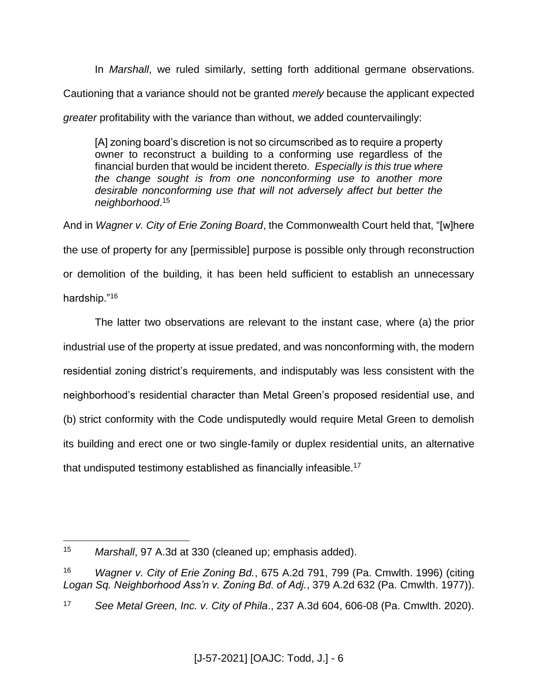In *Marshall*, we ruled similarly, setting forth additional germane observations.

Cautioning that a variance should not be granted *merely* because the applicant expected

*greater* profitability with the variance than without, we added countervailingly:

[A] zoning board's discretion is not so circumscribed as to require a property owner to reconstruct a building to a conforming use regardless of the financial burden that would be incident thereto. *Especially is this true where the change sought is from one nonconforming use to another more desirable nonconforming use that will not adversely affect but better the neighborhood*. 15

And in *Wagner v. City of Erie Zoning Board*, the Commonwealth Court held that, "[w]here the use of property for any [permissible] purpose is possible only through reconstruction or demolition of the building, it has been held sufficient to establish an unnecessary hardship."<sup>16</sup>

The latter two observations are relevant to the instant case, where (a) the prior industrial use of the property at issue predated, and was nonconforming with, the modern residential zoning district's requirements, and indisputably was less consistent with the neighborhood's residential character than Metal Green's proposed residential use, and (b) strict conformity with the Code undisputedly would require Metal Green to demolish its building and erect one or two single-family or duplex residential units, an alternative that undisputed testimony established as financially infeasible.<sup>17</sup>

<sup>15</sup> *Marshall*, 97 A.3d at 330 (cleaned up; emphasis added).

<sup>16</sup> *Wagner v. City of Erie Zoning Bd.*, 675 A.2d 791, 799 (Pa. Cmwlth. 1996) (citing *Logan Sq. Neighborhood Ass'n v. Zoning Bd. of Adj.*, 379 A.2d 632 (Pa. Cmwlth. 1977)).

<sup>17</sup> *See Metal Green, Inc. v. City of Phila*., 237 A.3d 604, 606-08 (Pa. Cmwlth. 2020).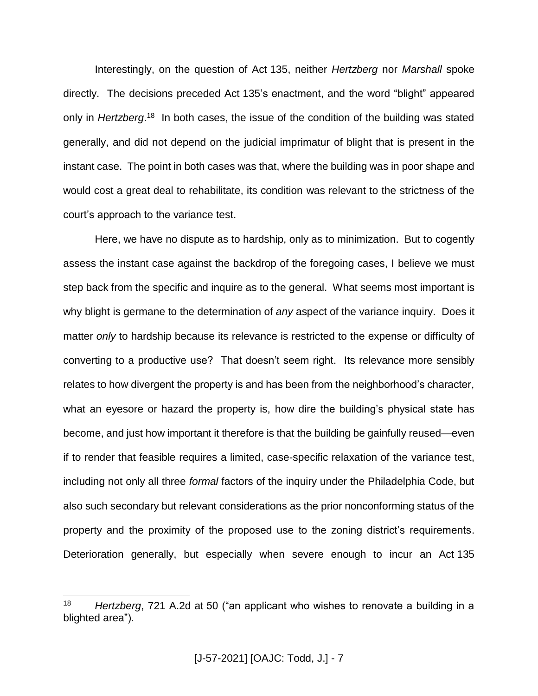Interestingly, on the question of Act 135, neither *Hertzberg* nor *Marshall* spoke directly. The decisions preceded Act 135's enactment, and the word "blight" appeared only in *Hertzberg*.<sup>18</sup> In both cases, the issue of the condition of the building was stated generally, and did not depend on the judicial imprimatur of blight that is present in the instant case. The point in both cases was that, where the building was in poor shape and would cost a great deal to rehabilitate, its condition was relevant to the strictness of the court's approach to the variance test.

Here, we have no dispute as to hardship, only as to minimization. But to cogently assess the instant case against the backdrop of the foregoing cases, I believe we must step back from the specific and inquire as to the general. What seems most important is why blight is germane to the determination of *any* aspect of the variance inquiry. Does it matter *only* to hardship because its relevance is restricted to the expense or difficulty of converting to a productive use? That doesn't seem right. Its relevance more sensibly relates to how divergent the property is and has been from the neighborhood's character, what an eyesore or hazard the property is, how dire the building's physical state has become, and just how important it therefore is that the building be gainfully reused—even if to render that feasible requires a limited, case-specific relaxation of the variance test, including not only all three *formal* factors of the inquiry under the Philadelphia Code, but also such secondary but relevant considerations as the prior nonconforming status of the property and the proximity of the proposed use to the zoning district's requirements. Deterioration generally, but especially when severe enough to incur an Act 135

<sup>18</sup> *Hertzberg*, 721 A.2d at 50 ("an applicant who wishes to renovate a building in a blighted area").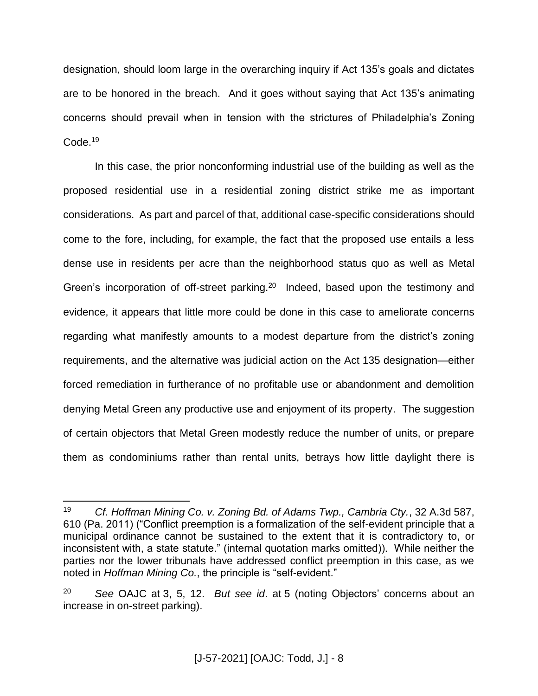designation, should loom large in the overarching inquiry if Act 135's goals and dictates are to be honored in the breach. And it goes without saying that Act 135's animating concerns should prevail when in tension with the strictures of Philadelphia's Zoning Code.<sup>19</sup>

In this case, the prior nonconforming industrial use of the building as well as the proposed residential use in a residential zoning district strike me as important considerations. As part and parcel of that, additional case-specific considerations should come to the fore, including, for example, the fact that the proposed use entails a less dense use in residents per acre than the neighborhood status quo as well as Metal Green's incorporation of off-street parking.<sup>20</sup> Indeed, based upon the testimony and evidence, it appears that little more could be done in this case to ameliorate concerns regarding what manifestly amounts to a modest departure from the district's zoning requirements, and the alternative was judicial action on the Act 135 designation—either forced remediation in furtherance of no profitable use or abandonment and demolition denying Metal Green any productive use and enjoyment of its property. The suggestion of certain objectors that Metal Green modestly reduce the number of units, or prepare them as condominiums rather than rental units, betrays how little daylight there is

<sup>19</sup> *Cf. Hoffman Mining Co. v. Zoning Bd. of Adams Twp., Cambria Cty.*, 32 A.3d 587, 610 (Pa. 2011) ("Conflict preemption is a formalization of the self-evident principle that a municipal ordinance cannot be sustained to the extent that it is contradictory to, or inconsistent with, a state statute." (internal quotation marks omitted)). While neither the parties nor the lower tribunals have addressed conflict preemption in this case, as we noted in *Hoffman Mining Co.*, the principle is "self-evident."

<sup>20</sup> *See* OAJC at 3, 5, 12. *But see id*. at 5 (noting Objectors' concerns about an increase in on-street parking).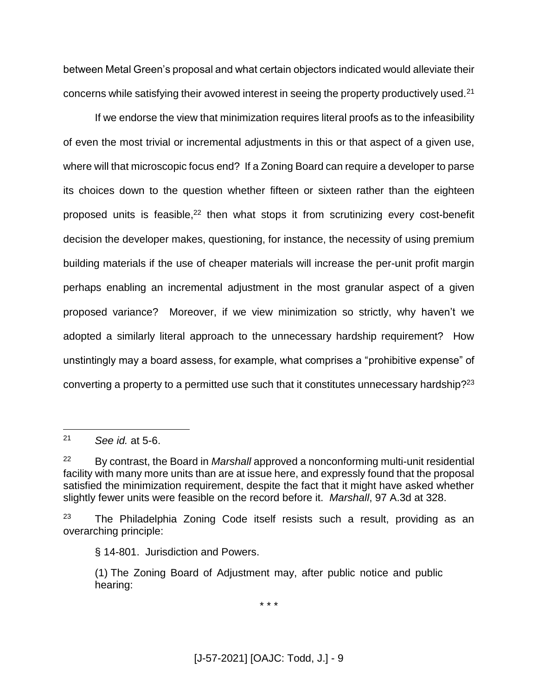between Metal Green's proposal and what certain objectors indicated would alleviate their concerns while satisfying their avowed interest in seeing the property productively used.<sup>21</sup>

If we endorse the view that minimization requires literal proofs as to the infeasibility of even the most trivial or incremental adjustments in this or that aspect of a given use, where will that microscopic focus end? If a Zoning Board can require a developer to parse its choices down to the question whether fifteen or sixteen rather than the eighteen proposed units is feasible,<sup>22</sup> then what stops it from scrutinizing every cost-benefit decision the developer makes, questioning, for instance, the necessity of using premium building materials if the use of cheaper materials will increase the per-unit profit margin perhaps enabling an incremental adjustment in the most granular aspect of a given proposed variance? Moreover, if we view minimization so strictly, why haven't we adopted a similarly literal approach to the unnecessary hardship requirement? How unstintingly may a board assess, for example, what comprises a "prohibitive expense" of converting a property to a permitted use such that it constitutes unnecessary hardship? $^{23}$ 

 $\overline{a}$ 

\* \* \*

<sup>21</sup> *See id.* at 5-6.

<sup>22</sup> By contrast, the Board in *Marshall* approved a nonconforming multi-unit residential facility with many more units than are at issue here, and expressly found that the proposal satisfied the minimization requirement, despite the fact that it might have asked whether slightly fewer units were feasible on the record before it. *Marshall*, 97 A.3d at 328.

 $23$  The Philadelphia Zoning Code itself resists such a result, providing as an overarching principle:

<sup>§</sup> 14-801. Jurisdiction and Powers.

<sup>(1)</sup> The Zoning Board of Adjustment may, after public notice and public hearing: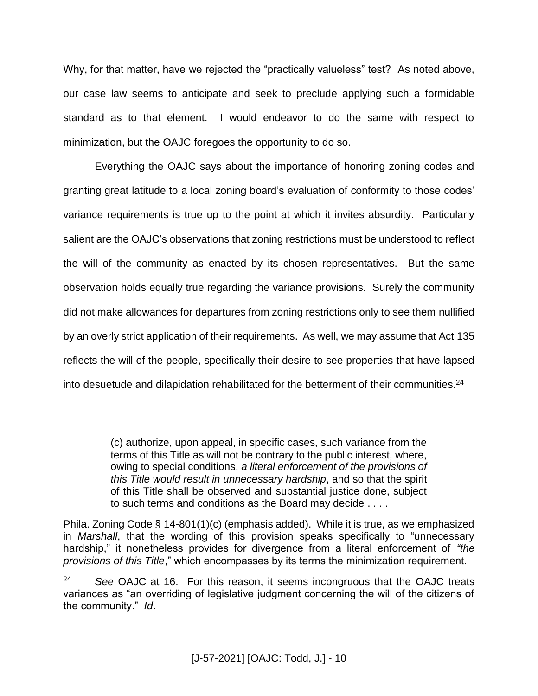Why, for that matter, have we rejected the "practically valueless" test? As noted above, our case law seems to anticipate and seek to preclude applying such a formidable standard as to that element. I would endeavor to do the same with respect to minimization, but the OAJC foregoes the opportunity to do so.

Everything the OAJC says about the importance of honoring zoning codes and granting great latitude to a local zoning board's evaluation of conformity to those codes' variance requirements is true up to the point at which it invites absurdity. Particularly salient are the OAJC's observations that zoning restrictions must be understood to reflect the will of the community as enacted by its chosen representatives. But the same observation holds equally true regarding the variance provisions. Surely the community did not make allowances for departures from zoning restrictions only to see them nullified by an overly strict application of their requirements. As well, we may assume that Act 135 reflects the will of the people, specifically their desire to see properties that have lapsed into desuetude and dilapidation rehabilitated for the betterment of their communities.<sup>24</sup>

<sup>(</sup>c) authorize, upon appeal, in specific cases, such variance from the terms of this Title as will not be contrary to the public interest, where, owing to special conditions, *a literal enforcement of the provisions of this Title would result in unnecessary hardship*, and so that the spirit of this Title shall be observed and substantial justice done, subject to such terms and conditions as the Board may decide . . . .

Phila. Zoning Code § 14-801(1)(c) (emphasis added). While it is true, as we emphasized in *Marshall*, that the wording of this provision speaks specifically to "unnecessary hardship," it nonetheless provides for divergence from a literal enforcement of *"the provisions of this Title*," which encompasses by its terms the minimization requirement.

<sup>24</sup> *See* OAJC at 16. For this reason, it seems incongruous that the OAJC treats variances as "an overriding of legislative judgment concerning the will of the citizens of the community." *Id*.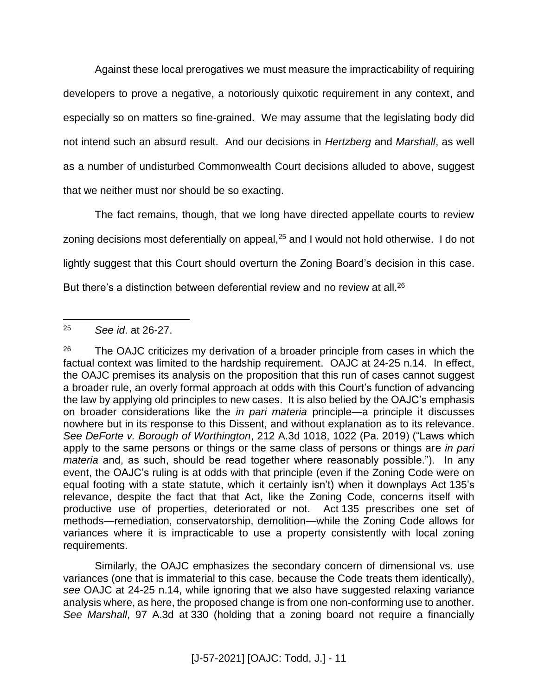Against these local prerogatives we must measure the impracticability of requiring developers to prove a negative, a notoriously quixotic requirement in any context, and especially so on matters so fine-grained. We may assume that the legislating body did not intend such an absurd result. And our decisions in *Hertzberg* and *Marshall*, as well as a number of undisturbed Commonwealth Court decisions alluded to above, suggest that we neither must nor should be so exacting.

The fact remains, though, that we long have directed appellate courts to review zoning decisions most deferentially on appeal, $25$  and I would not hold otherwise. I do not lightly suggest that this Court should overturn the Zoning Board's decision in this case. But there's a distinction between deferential review and no review at all. $^{26}$ 

Similarly, the OAJC emphasizes the secondary concern of dimensional vs. use variances (one that is immaterial to this case, because the Code treats them identically), *see* OAJC at 24-25 n.14, while ignoring that we also have suggested relaxing variance analysis where, as here, the proposed change is from one non-conforming use to another. *See Marshall*, 97 A.3d at 330 (holding that a zoning board not require a financially

 $\overline{a}$ <sup>25</sup> *See id*. at 26-27.

 $26$  The OAJC criticizes my derivation of a broader principle from cases in which the factual context was limited to the hardship requirement. OAJC at 24-25 n.14. In effect, the OAJC premises its analysis on the proposition that this run of cases cannot suggest a broader rule, an overly formal approach at odds with this Court's function of advancing the law by applying old principles to new cases. It is also belied by the OAJC's emphasis on broader considerations like the *in pari materia* principle—a principle it discusses nowhere but in its response to this Dissent, and without explanation as to its relevance. *See DeForte v. Borough of Worthington*, 212 A.3d 1018, 1022 (Pa. 2019) ("Laws which apply to the same persons or things or the same class of persons or things are *in pari materia* and, as such, should be read together where reasonably possible."). In any event, the OAJC's ruling is at odds with that principle (even if the Zoning Code were on equal footing with a state statute, which it certainly isn't) when it downplays Act 135's relevance, despite the fact that that Act, like the Zoning Code, concerns itself with productive use of properties, deteriorated or not. Act 135 prescribes one set of methods—remediation, conservatorship, demolition—while the Zoning Code allows for variances where it is impracticable to use a property consistently with local zoning requirements.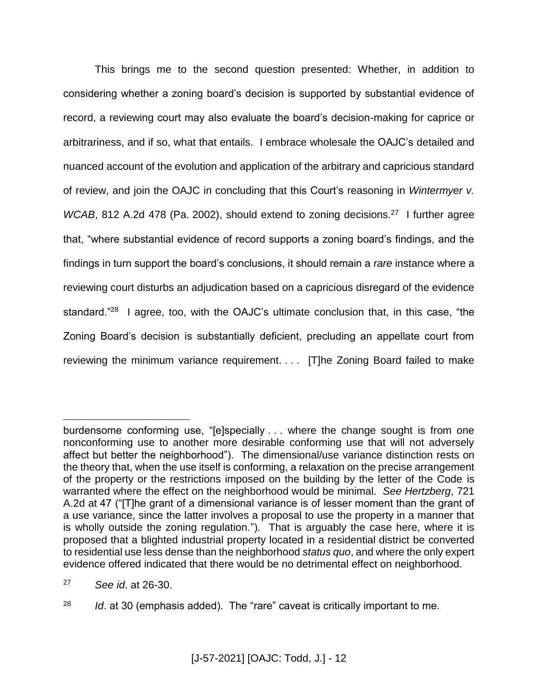This brings me to the second question presented: Whether, in addition to considering whether a zoning board's decision is supported by substantial evidence of record, a reviewing court may also evaluate the board's decision-making for caprice or arbitrariness, and if so, what that entails. I embrace wholesale the OAJC's detailed and nuanced account of the evolution and application of the arbitrary and capricious standard of review, and join the OAJC in concluding that this Court's reasoning in *Wintermyer v. WCAB*, 812 A.2d 478 (Pa. 2002), should extend to zoning decisions.<sup>27</sup> I further agree that, "where substantial evidence of record supports a zoning board's findings, and the findings in turn support the board's conclusions, it should remain a *rare* instance where a reviewing court disturbs an adjudication based on a capricious disregard of the evidence standard."<sup>28</sup> I agree, too, with the OAJC's ultimate conclusion that, in this case, "the Zoning Board's decision is substantially deficient, precluding an appellate court from reviewing the minimum variance requirement. . . . [T]he Zoning Board failed to make

burdensome conforming use, "[e]specially . . . where the change sought is from one nonconforming use to another more desirable conforming use that will not adversely affect but better the neighborhood"). The dimensional/use variance distinction rests on the theory that, when the use itself is conforming, a relaxation on the precise arrangement of the property or the restrictions imposed on the building by the letter of the Code is warranted where the effect on the neighborhood would be minimal. *See Hertzberg*, 721 A.2d at 47 ("[T]he grant of a dimensional variance is of lesser moment than the grant of a use variance, since the latter involves a proposal to use the property in a manner that is wholly outside the zoning regulation."). That is arguably the case here, where it is proposed that a blighted industrial property located in a residential district be converted to residential use less dense than the neighborhood *status quo*, and where the only expert evidence offered indicated that there would be no detrimental effect on neighborhood.

<sup>27</sup> *See id*. at 26-30.

<sup>28</sup> *Id*. at 30 (emphasis added). The "rare" caveat is critically important to me.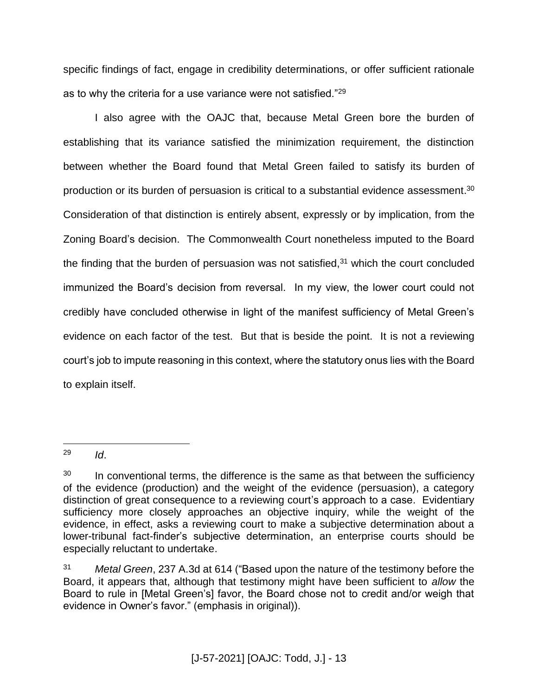specific findings of fact, engage in credibility determinations, or offer sufficient rationale as to why the criteria for a use variance were not satisfied."<sup>29</sup>

I also agree with the OAJC that, because Metal Green bore the burden of establishing that its variance satisfied the minimization requirement, the distinction between whether the Board found that Metal Green failed to satisfy its burden of production or its burden of persuasion is critical to a substantial evidence assessment.<sup>30</sup> Consideration of that distinction is entirely absent, expressly or by implication, from the Zoning Board's decision. The Commonwealth Court nonetheless imputed to the Board the finding that the burden of persuasion was not satisfied, $31$  which the court concluded immunized the Board's decision from reversal. In my view, the lower court could not credibly have concluded otherwise in light of the manifest sufficiency of Metal Green's evidence on each factor of the test. But that is beside the point. It is not a reviewing court's job to impute reasoning in this context, where the statutory onus lies with the Board to explain itself.

<sup>29</sup> *Id*.

 $30$  In conventional terms, the difference is the same as that between the sufficiency of the evidence (production) and the weight of the evidence (persuasion), a category distinction of great consequence to a reviewing court's approach to a case. Evidentiary sufficiency more closely approaches an objective inquiry, while the weight of the evidence, in effect, asks a reviewing court to make a subjective determination about a lower-tribunal fact-finder's subjective determination, an enterprise courts should be especially reluctant to undertake.

<sup>31</sup> *Metal Green*, 237 A.3d at 614 ("Based upon the nature of the testimony before the Board, it appears that, although that testimony might have been sufficient to *allow* the Board to rule in [Metal Green's] favor, the Board chose not to credit and/or weigh that evidence in Owner's favor." (emphasis in original)).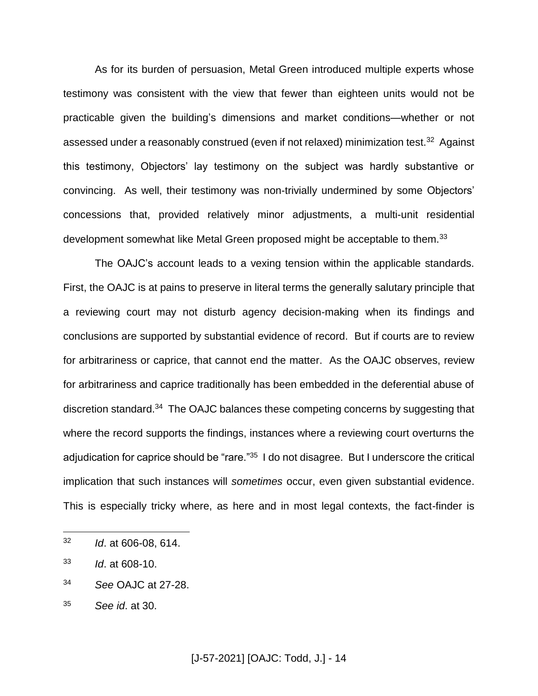As for its burden of persuasion, Metal Green introduced multiple experts whose testimony was consistent with the view that fewer than eighteen units would not be practicable given the building's dimensions and market conditions—whether or not assessed under a reasonably construed (even if not relaxed) minimization test.<sup>32</sup> Against this testimony, Objectors' lay testimony on the subject was hardly substantive or convincing. As well, their testimony was non-trivially undermined by some Objectors' concessions that, provided relatively minor adjustments, a multi-unit residential development somewhat like Metal Green proposed might be acceptable to them.<sup>33</sup>

The OAJC's account leads to a vexing tension within the applicable standards. First, the OAJC is at pains to preserve in literal terms the generally salutary principle that a reviewing court may not disturb agency decision-making when its findings and conclusions are supported by substantial evidence of record. But if courts are to review for arbitrariness or caprice, that cannot end the matter. As the OAJC observes, review for arbitrariness and caprice traditionally has been embedded in the deferential abuse of discretion standard.<sup>34</sup> The OAJC balances these competing concerns by suggesting that where the record supports the findings, instances where a reviewing court overturns the adjudication for caprice should be "rare."<sup>35</sup> I do not disagree. But I underscore the critical implication that such instances will *sometimes* occur, even given substantial evidence. This is especially tricky where, as here and in most legal contexts, the fact-finder is

 $\overline{a}$ 

<sup>34</sup> *See* OAJC at 27-28.

<sup>32</sup> *Id*. at 606-08, 614.

<sup>33</sup> *Id*. at 608-10.

<sup>35</sup> *See id*. at 30.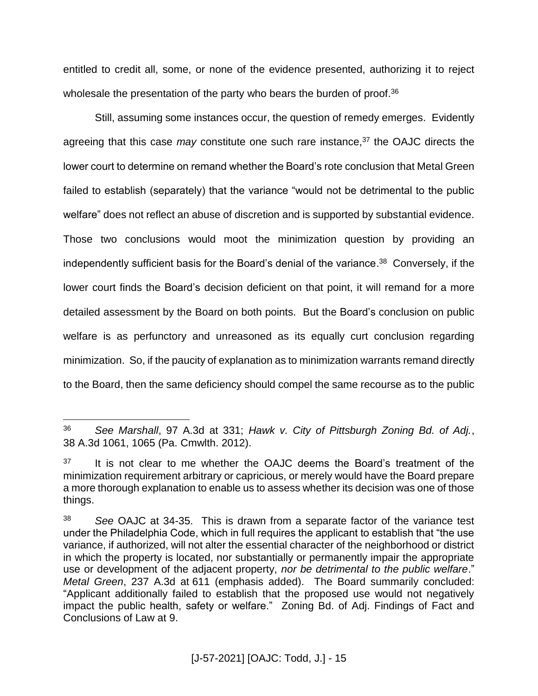entitled to credit all, some, or none of the evidence presented, authorizing it to reject wholesale the presentation of the party who bears the burden of proof.<sup>36</sup>

Still, assuming some instances occur, the question of remedy emerges. Evidently agreeing that this case *may* constitute one such rare instance,<sup>37</sup> the OAJC directs the lower court to determine on remand whether the Board's rote conclusion that Metal Green failed to establish (separately) that the variance "would not be detrimental to the public welfare" does not reflect an abuse of discretion and is supported by substantial evidence. Those two conclusions would moot the minimization question by providing an independently sufficient basis for the Board's denial of the variance. 38 Conversely, if the lower court finds the Board's decision deficient on that point, it will remand for a more detailed assessment by the Board on both points. But the Board's conclusion on public welfare is as perfunctory and unreasoned as its equally curt conclusion regarding minimization. So, if the paucity of explanation as to minimization warrants remand directly to the Board, then the same deficiency should compel the same recourse as to the public

<sup>36</sup> *See Marshall*, 97 A.3d at 331; *Hawk v. City of Pittsburgh Zoning Bd. of Adj.*, 38 A.3d 1061, 1065 (Pa. Cmwlth. 2012).

 $37$  It is not clear to me whether the OAJC deems the Board's treatment of the minimization requirement arbitrary or capricious, or merely would have the Board prepare a more thorough explanation to enable us to assess whether its decision was one of those things.

<sup>38</sup> *See* OAJC at 34-35. This is drawn from a separate factor of the variance test under the Philadelphia Code, which in full requires the applicant to establish that "the use variance, if authorized, will not alter the essential character of the neighborhood or district in which the property is located, nor substantially or permanently impair the appropriate use or development of the adjacent property, *nor be detrimental to the public welfare*." *Metal Green*, 237 A.3d at 611 (emphasis added). The Board summarily concluded: "Applicant additionally failed to establish that the proposed use would not negatively impact the public health, safety or welfare." Zoning Bd. of Adj. Findings of Fact and Conclusions of Law at 9.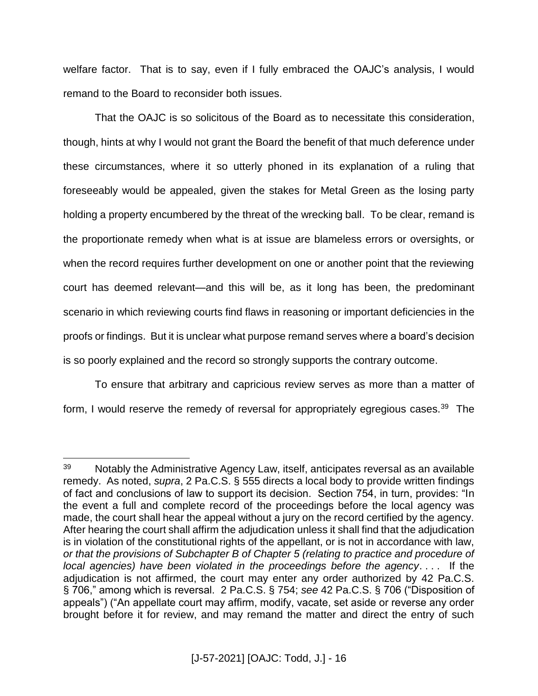welfare factor. That is to say, even if I fully embraced the OAJC's analysis, I would remand to the Board to reconsider both issues.

That the OAJC is so solicitous of the Board as to necessitate this consideration, though, hints at why I would not grant the Board the benefit of that much deference under these circumstances, where it so utterly phoned in its explanation of a ruling that foreseeably would be appealed, given the stakes for Metal Green as the losing party holding a property encumbered by the threat of the wrecking ball. To be clear, remand is the proportionate remedy when what is at issue are blameless errors or oversights, or when the record requires further development on one or another point that the reviewing court has deemed relevant—and this will be, as it long has been, the predominant scenario in which reviewing courts find flaws in reasoning or important deficiencies in the proofs or findings. But it is unclear what purpose remand serves where a board's decision is so poorly explained and the record so strongly supports the contrary outcome.

To ensure that arbitrary and capricious review serves as more than a matter of form, I would reserve the remedy of reversal for appropriately egregious cases.<sup>39</sup> The

<sup>&</sup>lt;sup>39</sup> Notably the Administrative Agency Law, itself, anticipates reversal as an available remedy. As noted, *supra*, 2 Pa.C.S. § 555 directs a local body to provide written findings of fact and conclusions of law to support its decision. Section 754, in turn, provides: "In the event a full and complete record of the proceedings before the local agency was made, the court shall hear the appeal without a jury on the record certified by the agency. After hearing the court shall affirm the adjudication unless it shall find that the adjudication is in violation of the constitutional rights of the appellant, or is not in accordance with law, *or that the provisions of Subchapter B of Chapter 5 (relating to practice and procedure of local agencies) have been violated in the proceedings before the agency*. . . . If the adjudication is not affirmed, the court may enter any order authorized by 42 Pa.C.S. § 706," among which is reversal. 2 Pa.C.S. § 754; *see* 42 Pa.C.S. § 706 ("Disposition of appeals") ("An appellate court may affirm, modify, vacate, set aside or reverse any order brought before it for review, and may remand the matter and direct the entry of such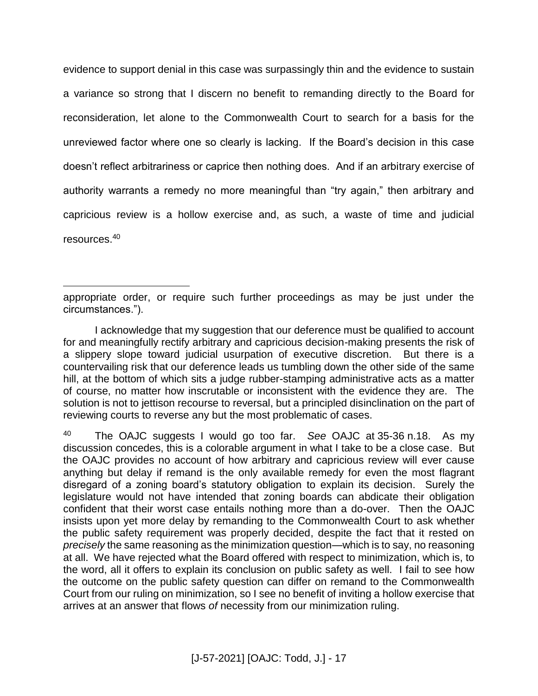evidence to support denial in this case was surpassingly thin and the evidence to sustain a variance so strong that I discern no benefit to remanding directly to the Board for reconsideration, let alone to the Commonwealth Court to search for a basis for the unreviewed factor where one so clearly is lacking. If the Board's decision in this case doesn't reflect arbitrariness or caprice then nothing does. And if an arbitrary exercise of authority warrants a remedy no more meaningful than "try again," then arbitrary and capricious review is a hollow exercise and, as such, a waste of time and judicial resources.<sup>40</sup>

 $\overline{a}$ appropriate order, or require such further proceedings as may be just under the circumstances.").

I acknowledge that my suggestion that our deference must be qualified to account for and meaningfully rectify arbitrary and capricious decision-making presents the risk of a slippery slope toward judicial usurpation of executive discretion. But there is a countervailing risk that our deference leads us tumbling down the other side of the same hill, at the bottom of which sits a judge rubber-stamping administrative acts as a matter of course, no matter how inscrutable or inconsistent with the evidence they are. The solution is not to jettison recourse to reversal, but a principled disinclination on the part of reviewing courts to reverse any but the most problematic of cases.

<sup>40</sup> The OAJC suggests I would go too far. *See* OAJC at 35-36 n.18. As my discussion concedes, this is a colorable argument in what I take to be a close case. But the OAJC provides no account of how arbitrary and capricious review will ever cause anything but delay if remand is the only available remedy for even the most flagrant disregard of a zoning board's statutory obligation to explain its decision. Surely the legislature would not have intended that zoning boards can abdicate their obligation confident that their worst case entails nothing more than a do-over. Then the OAJC insists upon yet more delay by remanding to the Commonwealth Court to ask whether the public safety requirement was properly decided, despite the fact that it rested on *precisely* the same reasoning as the minimization question—which is to say, no reasoning at all. We have rejected what the Board offered with respect to minimization, which is, to the word, all it offers to explain its conclusion on public safety as well. I fail to see how the outcome on the public safety question can differ on remand to the Commonwealth Court from our ruling on minimization, so I see no benefit of inviting a hollow exercise that arrives at an answer that flows *of* necessity from our minimization ruling.